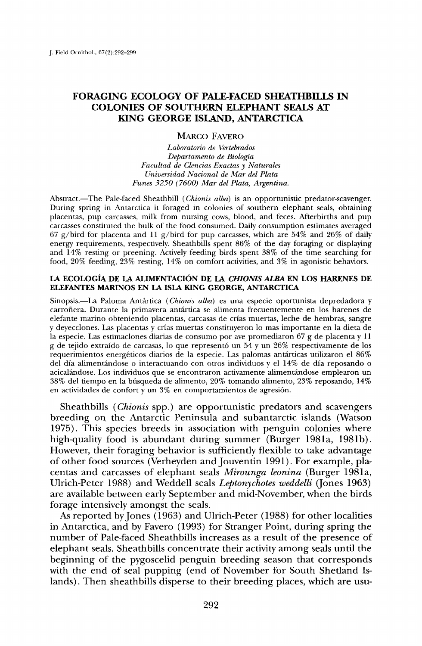# **FORAGING ECOLOGY OF PALE-FACED SHEATHBILLS IN COLONIES OF SOUTHERN EI.EPHANT SEALS AT KING GEORGE ISLAND, ANTARCTICA**

## **MARCO FAVERO**

**Laboratorio de Vertebrados Departamento de Biologia Facultad de Clencias Exactas y Naturales Universidad Nacional de Mar del Plata Funes 3250 (7600) Mar del Plata, Argentina.** 

Abstract.—The Pale-faced Sheathbill (*Chionis alba*) is an opportunistic predator-scavenger. **During spring in Antarctica it foraged in colonies of southern elephant seals, obtaining placentas, pup carcasses, milk from nursing cows, blood, and feces. Afterbirths and pup carcasses constituted the bulk of the food consumed. Daily consumption estimates averaged 67 g/bird for placenta and 11 g/bird for pup carcasses, which are 54% and 26% of daily energy requirements, respectively. Sheathbills spent 86% of the day foraging or displaying and 14% resting or preening. Actively feeding birds spent 38% of the time searching for food, 20% feeding, 23% resting, 14% on comfort activities, and 3% in agonistic behaviors.** 

#### LA ECOLOGÍA DE LA ALIMENTACIÓN DE LA CHIONIS ALBA EN LOS HARENES DE **ELEFANTES MARINOS EN LA ISLA KING GEORGE, ANTARCTICA**

Sinopsis.--La Paloma Antártica (Chionis alba) es una especie oportunista depredadora y carroñera. Durante la primavera antártica se alimenta frecuentemente en los harenes de **elefante marino obteniendo placentas, carcasas de crias muertas, leche de hembras, sangre y deyecclones. Las placentas y crlas muertas constituyeron lo mas importante en la dieta de la especie. Las estimaclones diarias de consumo pot ave promediaron 67 g de placenta y 11 g de tejido extra/do de carcasas, lo que represent6 un 54 y un 26% respectivamente de los requerimientos energtticos diarios de la especie. Las palomas antfirticas utilizaron el 86%**  del día alimentándose o interactuando con otros individuos y el 14% de día reposando o **acicalfindose. Los individuos que se encontraron activamente alimentfindose emplearon un 38% del tiempo en la bfisqueda de alimento, 20% tomando alimento, 23% reposando, 14%**  en actividades de confort y un 3% en comportamientos de agresión.

**Sheathbills (Chionis spp.) are opportunistic predators and scavengers breeding on the Antarctic Peninsula and subantarctic islands (Watson 1975). This species breeds in association with penguin colonies where high-quality food is abundant during summer (Burger 1981a, 1981b). However, their foraging behavior is sufficiently flexible to take advantage**  of other food sources (Verheyden and Jouventin 1991). For example, pla**centas and carcasses of elephant seals Mirounga leonina (Burger 1981a, Ulrich-Peter 1988) and Weddell seals Leptonychotes weddelli (Jones 1963) are available between early September and mid-November, when the birds forage intensively amongst the seals.** 

**As reported by Jones (1963) and Ulrich-Peter (1988) for other localities in Antarctica, and by Favero (1993) for Stranger Point, during spring the number of Pale-faced Sheathbills increases as a result of the presence of elephant seals. Sheathbills concentrate their activity among seals until the beginning of the pygoscelid penguin breeding season that corresponds with the end of seal pupping (end of November for South Shetland Islands). Then sheathbills disperse to their breeding places, which are usu-**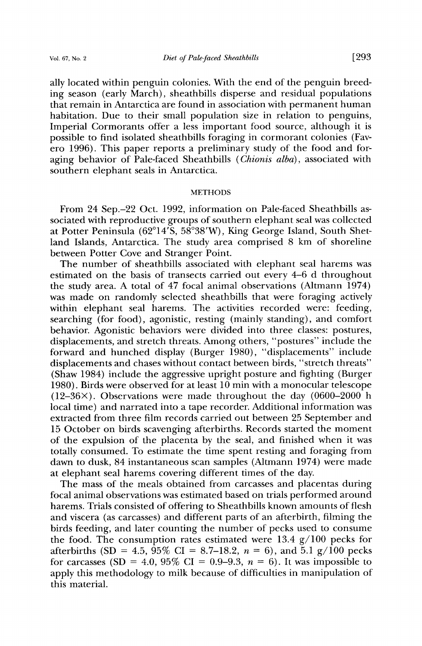**ing season (early March), sheathbills disperse and residual populations that remain in Antarctica are found in association with permanent human habitation. Due to their small population size in relation to penguins, Imperial Cormorants offer a less important food source, although it is possible to find isolated sheathbills foraging in cormorant colonies (Favero 1996). This paper reports a preliminary study of the food and foraging behavior of Pale-faced Sheathbills (Chionis alba), associated with southern elephant seals in Antarctica.** 

### **METHODS**

**From 24 Sep.-22 Oct. 1992, information on Pale-faced Sheathbills associated with reproductive groups of southern elephant seal was collected**  at Potter Peninsula (62°14'S, 58°38'W), King George Island, South Shet**land Islands, Antarctica. The study area comprised 8 km of shoreline between Potter Cove and Stranger Point.** 

**The number of sheathbills associated with elephant seal harems was estimated on the basis of transects carried out every 4-6 d throughout the study area. A total of 47 focal animal observations (Altmann 1974) was made on randomly selected sheathbills that were foraging actively within elephant seal harems. The activities recorded were: feeding, searching (for food), agonistic, resting (mainly standing), and comfort behavior. Agonistic behaviors were divided into three classes: postures, displacements, and stretch threats. Among others, "postures" include the forward and hunched display (Burger 1980), "displacements" include displacements and chases without contact between birds, "stretch threats" (Shaw 1984) include the aggressive upright posture and fighting (Burger 1980). Birds were observed for at least 10 min with a monocular telescope (12-36x). Observations were made throughout the day (0600-2000 h local time) and narrated into a tape recorder. Additional information was extracted from three film records carried out between 25 September and 15 October on birds scavenging afterbirths. Records started the moment of the expulsion of the placenta by the seal, and finished when it was totally consumed. To estimate the time spent resting and foraging from dawn to dusk, 84 instantaneous scan samples (Altmann 1974) were made at elephant seal harems covering different times of the day.** 

**The mass of the meals obtained from carcasses and placentas during focal animal observations was estimated based on trials performed around harems. Trials consisted of offering to Sheathbills known amounts of flesh and viscera (as carcasses) and different parts of an afterbirth, filming the birds feeding, and later counting the number of pecks used to consume the food. The consumption rates estimated were 13.4 g/100 pecks for**  afterbirths (SD = 4.5,  $95\%$  CI = 8.7–18.2,  $n = 6$ ), and 5.1 g/100 pecks for carcasses (SD = 4.0, 95% CI =  $0.9-9.3$ ,  $n = 6$ ). It was impossible to **apply this methodology to milk because of difficulties in manipulation of this material.**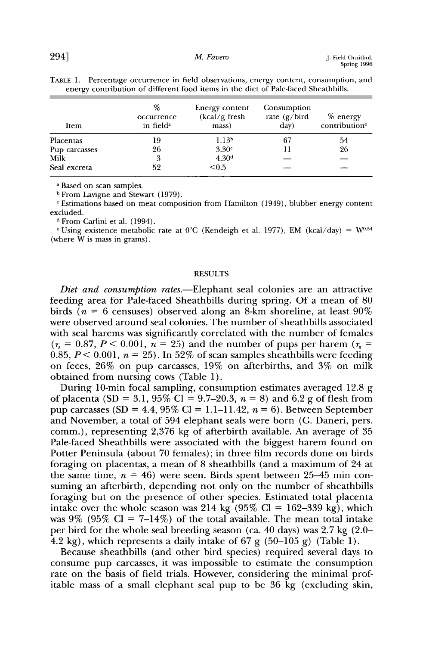| Item          | %<br>occurrence<br>in field <sup>a</sup> | Energy content<br>$(kcal/g$ fresh<br>mass) | Consumption<br>rate $(g/bird)$<br>day) | $%$ energy<br>contribution <sup>e</sup> |
|---------------|------------------------------------------|--------------------------------------------|----------------------------------------|-----------------------------------------|
| Placentas     | 19                                       | 1.13 <sup>b</sup>                          | 67                                     | 54                                      |
| Pup carcasses | 26                                       | 3.30 <sup>c</sup>                          |                                        | 26                                      |
| Milk          | 3                                        | 4.30 <sup>d</sup>                          |                                        |                                         |
| Seal excreta  | 52                                       | < 0.5                                      |                                        |                                         |

| TABLE 1. Percentage occurrence in field observations, energy content, consumption, and |
|----------------------------------------------------------------------------------------|
| energy contribution of different food items in the diet of Pale-faced Sheathbills.     |

**a Based on scan samples.** 

**b From Lavigne and Stewart (1979).** 

**c Estimations based on meat composition from Hamilton (1949), blubber energy content excluded.** 

**a From Carlini et al. (1994).** 

<sup>e</sup> Using existence metabolic rate at  $0^{\circ}$ C (Kendeigh et al. 1977), EM (kcal/day) =  $W^{0.54}$ **(where W is mass in grams).** 

#### **RESULTS**

Diet and consumption rates.—Elephant seal colonies are an attractive **feeding area for Pale-faced Sheathbills during spring. Of a mean of 80 birds (n = 6 censuses) observed along an 8-km shoreline, at least 90% were observed around seal colonies. The number of sheathbills associated with seal harems was significantly correlated with the number of females**   $(r_{\rm s} = 0.87, P < 0.001, n = 25)$  and the number of pups per harem  $(r_{\rm s} = 0.87, P < 0.001, n = 25)$ 0.85,  $P < 0.001$ ,  $n = 25$ ). In 52% of scan samples sheathbills were feeding **on feces, 26% on pup carcasses, 19% on afterbirths, and 3% on milk obtained from nursing cows (Table 1).** 

**During 10-min focal sampling, consumption estimates averaged 12.8 g**  of placenta (SD = 3.1,  $95\%$  Cl = 9.7–20.3,  $n = 8$ ) and 6.2 g of flesh from pup carcasses (SD =  $4.4$ ,  $95\%$  Cl = 1.1-11.42,  $n = 6$ ). Between September **and November, a total of 594 elephant seals were born (G. Daneri, pers. comm.), representing 2,376 kg of afterbirth available. An average of 35 Pale-faced Sheathbills were associated with the biggest harem found on Potter Peninsula (about 70 females); in three film records done on birds foraging on placentas, a mean of 8 sheathbills (and a maximum of 24 at**  the same time,  $n = 46$ ) were seen. Birds spent between 25–45 min con**suming an afterbirth, depending not only on the number of sheathbills foraging but on the presence of other species. Estimated total placenta**  intake over the whole season was 214 kg  $(95\% \text{ Cl} = 162-339 \text{ kg})$ , which was  $9\%$  ( $95\%$  Cl =  $7-14\%$ ) of the total available. The mean total intake **per bird for the whole seal breeding season (ca. 40 days) was 2.7 kg (2.0-**   $\overline{4.2 \text{ kg}}$ , which represents a daily intake of 67 g (50–105 g) (Table 1).

**Because sheathbills (and other bird species) required several days to consume pup carcasses, it was impossible to estimate the consumption rate on the basis of field trials. However, considering the minimal profitable mass of a small elephant seal pup to be 36 kg (excluding skin,**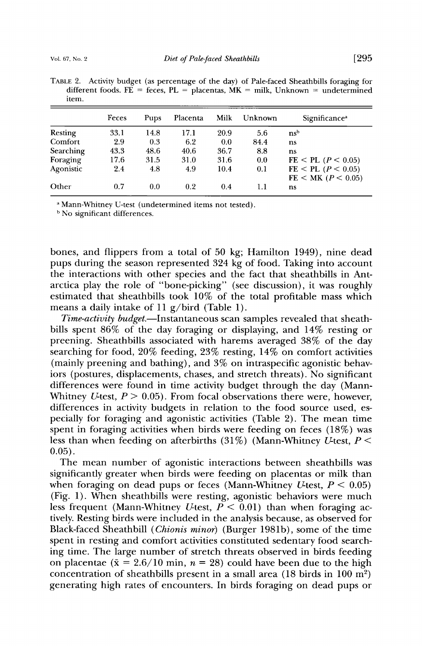**TABLE 2. Activity budget (as percentage of the day) of Pale-faced Sheathbills foraging for**  different foods. FE = feces, PL = placentas,  $MK =$  milk, Unknown = undetermined **item.** 

|           | Feces<br>Pups |      | Milk<br>Placenta |      | Unknown | Significance <sup>a</sup>                            |  |
|-----------|---------------|------|------------------|------|---------|------------------------------------------------------|--|
| Resting   | 33.1          | 14.8 | 17.1             | 20.9 | 5.6     | ns <sup>b</sup>                                      |  |
| Comfort   | 2.9           | 0.3  | 6.2              | 0.0  | 84.4    | ns                                                   |  |
| Searching | 43.3          | 48.6 | 40.6             | 36.7 | 8.8     | ns                                                   |  |
| Foraging  | 17.6          | 31.5 | 31.0             | 31.6 | 0.0     | $FE < PL$ ( $P < 0.05$ )                             |  |
| Agonistic | 2.4           | 4.8  | 4.9              | 10.4 | 0.1     | $FE < PL$ ( $P < 0.05$ )<br>$FE < MK$ ( $P < 0.05$ ) |  |
| Other     | 0.7           | 0.0  | 0.2              | 0.4  | 1.1     | ns                                                   |  |

**Mann-Whitney U-test (undetermined items not tested).** 

**No significant differences.** 

**bones, and flippers from a total of 50 kg; Hamilton 1949), nine dead pups during the season represented 324 kg of food. Taking into account the interactions with other species and the fact that sheathbills in Antarctica play the role of "bone-picking" (see discussion), it was roughly estimated that sheathbills took 10% of the total profitable mass which means a daily intake of 11 g/bird (Table 1).** 

Time-activity budget.**-**Instantaneous scan samples revealed that sheath**bills spent 86% of the day foraging or displaying, and 14% resting or preening. Sheathbills associated with harems averaged 38% of the day searching for food, 20% feeding, 23% resting, 14% on comfort activities (mainly preening and bathing), and 3% on intraspecific agonistic behaviors (postures, displacements, chases, and stretch threats). No significant differences were found in time activity budget through the day (Mann-**Whitney *U*-test,  $P > 0.05$ ). From focal observations there were, however, **differences in activity budgets in relation to the food source used, especially for foraging and agonistic activities (Table 2). The mean time spent in foraging activities when birds were feeding on feces (18%) was**  less than when feeding on afterbirths  $(31\%)$  (Mann-Whitney *U*-test, *P* < **0.05).** 

**The mean number of agonistic interactions between sheathbills was significantly greater when birds were feeding on placentas or milk than**  when foraging on dead pups or feces (Mann-Whitney *U*-test,  $P < 0.05$ ) **(Fig. 1). When sheathbills were resting, agonistic behaviors were much**  less frequent (Mann-Whitney *U*-test,  $P \leq 0.01$ ) than when foraging ac**tively. Resting birds were included in the analysis because, as observed for Black-faced Sheathbill (Chionis minor) (Burger 1981b), some of the time spent in resting and comfort activities constituted sedentary food searching time. The large number of stretch threats observed in birds feeding**  on placentae ( $\bar{x} = 2.6/10$  min,  $n = 28$ ) could have been due to the high concentration of sheathbills present in a small area (18 birds in 100 m<sup>2</sup>) **generating high rates of encounters. In birds foraging on dead pups or**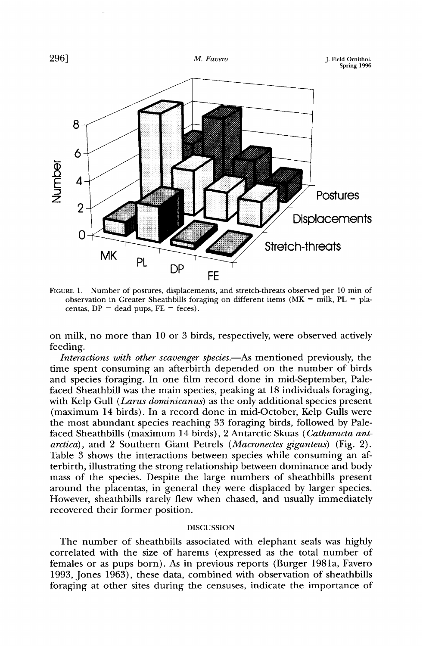

FIGURE 1. Number of postures, displacements, and stretch-threats observed per 10 min of observation in Greater Sheathbills foraging on different items ( $MK =$  milk,  $PL =$  placentas,  $DP = dead$  pups,  $FE = feces$ ).

**on milk, no more than 10 or 3 birds, respectively, were observed actively feeding.** 

Interactions with other scavenger species.—As mentioned previously, the **time spent consuming an afterbirth depended on the number of birds and species foraging. In one film record done in mid-September, Palefaced Sheathbill was the main species, peaking at 18 individuals foraging, with Kelp Gull (Larus dominicanus) as the only additional species present (maximum 14 birds). In a record done in mid-October, Kelp Gulls were the most abundant species reaching 33 foraging birds, followed by Palefaced Sheathbills (maximum 14 birds), 2 Antarctic Skuas (Catharacta antarctica), and 2 Southern Giant Petrels (Macronectes giganteus) (Fig. 2). Table 3 shows the interactions between species while consuming an afterbirth, illustrating the strong relationship between dominance and body mass of the species. Despite the large numbers of sheathbills present around the placentas, in general they were displaced by larger species. However, sheathbills rarely flew when chased, and usually immediately recovered their former position.** 

## **DISCUSSION**

**The number of sheathbills associated with elephant seals was highly correlated with the size of harems (expressed as the total number of females or as pups born). As in previous reports (Burger 1981a, Favero 1993, Jones 1963), these data, combined with observation of sheathbills foraging at other sites during the censuses, indicate the importance of**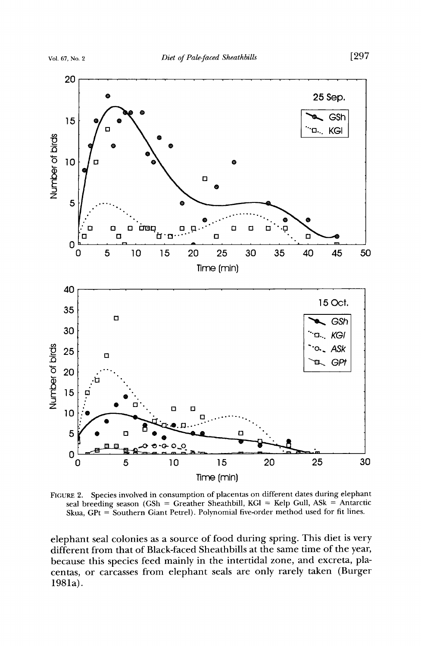

FIGURE 2. Species involved in consumption of placentas on different dates during elephant seal breeding season (GSh = Greather Sheathbill, KGI = Kelp Gull, ASk = Antarctic **Skua, GPt = Southern Giant Petrel). Polynomial five-order method used for fit lines.** 

**elephant seal colonies as a source of food during spring. This diet is very different from that of Black-faced Sheathbills at the same time of the year, because this species feed mainly in the intertidal zone, and excreta, placentas, or carcasses from elephant seals are only rarely taken (Burger 1981a).**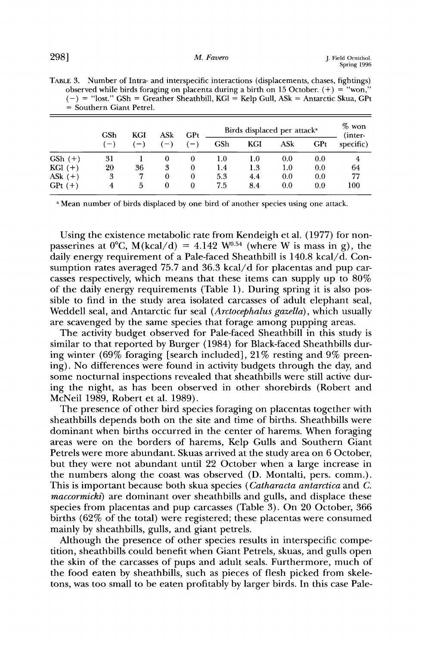|             | GSh<br>$(-)$ | KGI | ASk<br>$l=1$ | GPt<br>$-$ | Birds displaced per attack <sup>a</sup> |     |     |     | $%$ won<br>(inter- |
|-------------|--------------|-----|--------------|------------|-----------------------------------------|-----|-----|-----|--------------------|
|             |              |     |              |            | GSh                                     | KGI | ASk | GPt | specific)          |
| $GSh (+)$   | 31           |     | 0            | $\theta$   | 1.0                                     | 1.0 | 0.0 | 0.0 | 4                  |
| $KGI (+)$   | 20           | 36  | 3            | $\Omega$   | 1.4                                     | 1.3 | 1.0 | 0.0 | 64                 |
| AS $k (+)$  | 3            | 7   | 0            | 0          | 5.3                                     | 4.4 | 0.0 | 0.0 | 77                 |
| $GPt$ $(+)$ |              | 5   | 0            | 0          | 7.5                                     | 8.4 | 0.0 | 0.0 | 100                |

TABLE 3. Number of Intra- and interspecific interactions (displacements, chases, fightings) observed while birds foraging on placenta during a birth on 15 October.  $(+) =$  "won," **(-) = "lost." GSh = Greather Sheathbill, KG1 = Kelp Gull, ASk = Antarctic Skua, GPt = Southern Giant Petrel.** 

**Mean number of birds displaced by one bird of another species using one attack.** 

**Using the existence metabolic rate from Kendeigh et al. (1977) for non**passerines at  $0^{\circ}$ C, M(kcal/d) = 4.142 W<sup>0.54</sup> (where W is mass in g), the **daily energy requirement of a Pale-faced Sheathbill is 140.8 kcal/d. Consumption rates averaged 75.7 and 36.3 kcal/d for placentas and pup carcasses respectively, which means that these items can supply up to 80% of the daily energy requirements (Table 1). During spring it is also possible to find in the study area isolated carcasses of adult elephant seal, Weddell seal, and Antarctic fur seal (Arctocephalus gazella), which usually are scavenged by the same species that forage among pupping areas.** 

**The activity budget observed for Pale-faced Sheathbill in this study is similar to that reported by Burger (1984) for Black-faced Sheathbills during winter (69% foraging [search included], 21% resting and 9% preening). No differences were found in activity budgets through the day, and some nocturnal inspections revealed that sheathbills were still active during the night, as has been observed in other shorebirds (Robert and McNeil 1989, Robert et al. 1989).** 

**The presence of other bird species foraging on placentas together with sheathbills depends both on the site and time of births. Sheathbills were dominant when births occurred in the center of harems. When foraging areas were on the borders of harems, Kelp Gulls and Southern Giant Petrels were more abundant. Skuas arrived at the study area on 6 October, but they were not abundant until 22 October when a large increase in the numbers along the coast was observed (D. Montalti, pers. comm.). This is important because both skua species (Catharacta antarctica and C.**  *maccormicki*) are dominant over sheathbills and gulls, and displace these **species from placentas and pup carcasses (Table 3). On 20 October, 366 births (62% of the total) were registered; these placentas were consumed mainly by sheathbills, gulls, and giant petrels.** 

**Although the presence of other species results in interspecific competition, sheathbills could benefit when Giant Petrels, skuas, and gulls open the skin of the carcasses of pups and adult seals. Furthermore, much of the food eaten by sheathbills, such as pieces of flesh picked from skeletons, was too small to be eaten profitably by larger birds. In this case Pale-**